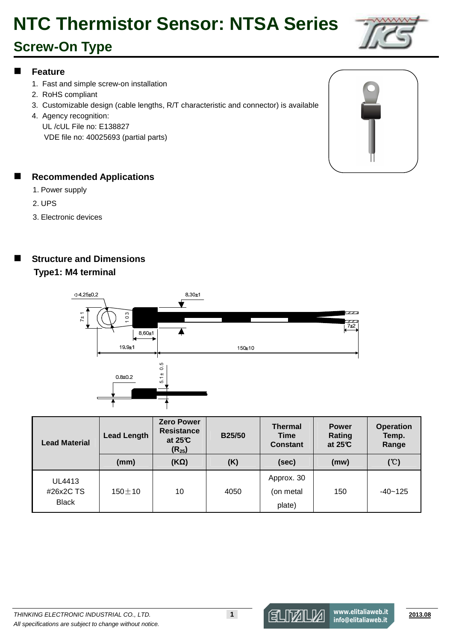# **NTC Thermistor Sensor: NTSA Series**

### **Screw-On Type**

#### **Feature**

- 1. Fast and simple screw-on installation
- 2. RoHS compliant
- 3. Customizable design (cable lengths, R/T characteristic and connector) is available
- 4. Agency recognition:
	- UL /cUL File no: E138827
	- VDE file no: 40025693 (partial parts)

#### **Recommended Applications**

- 1. Power supply
- 2. UPS
- 3. Electronic devices

#### **Structure and Dimensions Type1: M4 terminal**



| <b>Lead Material</b> | <b>Lead Length</b> | <b>Zero Power</b><br><b>Resistance</b><br>at $25C$<br>$(R_{25})$ | <b>B25/50</b> | <b>Thermal</b><br><b>Time</b><br><b>Constant</b> | <b>Power</b><br>Rating<br>at $25C$ | <b>Operation</b><br>Temp.<br>Range |
|----------------------|--------------------|------------------------------------------------------------------|---------------|--------------------------------------------------|------------------------------------|------------------------------------|
|                      | (mm)               | $(K\Omega)$                                                      | (K)           | (sec)                                            | (mw)                               | (°C)                               |
| UL4413<br>#26x2C TS  | $150 + 10$         | 10                                                               | 4050          | Approx. 30<br>(on metal                          | 150                                | $-40 - 125$                        |
| <b>Black</b>         |                    |                                                                  |               | plate)                                           |                                    |                                    |





**www.elitaliaweb.it info@elitaliaweb.it**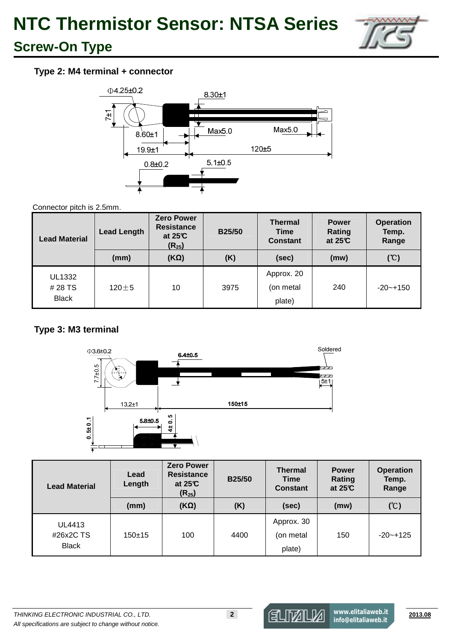

### **Screw-On Type**

#### **Type 2: M4 terminal + connector**



#### Connector pitch is 2.5mm.

| <b>Lead Material</b>                     | <b>Lead Length</b> | <b>Zero Power</b><br><b>Resistance</b><br>at $25C$<br>$(R_{25})$ | <b>B25/50</b> | <b>Thermal</b><br><b>Time</b><br><b>Constant</b> | <b>Power</b><br>Rating<br>at $25C$ | <b>Operation</b><br>Temp.<br>Range |
|------------------------------------------|--------------------|------------------------------------------------------------------|---------------|--------------------------------------------------|------------------------------------|------------------------------------|
|                                          | (mm)               | $(K\Omega)$                                                      | (K)           | (sec)                                            | (mw)                               | (C)                                |
| <b>UL1332</b><br># 28 TS<br><b>Black</b> | $120 + 5$          | 10                                                               | 3975          | Approx. 20<br>(on metal<br>plate)                | 240                                | $-20 - +150$                       |

#### **Type 3: M3 terminal**



| <b>Lead Material</b>                | Lead<br>Length | <b>Zero Power</b><br><b>Resistance</b><br>at $25C$<br>$(R_{25})$ | <b>B25/50</b> | <b>Thermal</b><br><b>Time</b><br><b>Constant</b> | <b>Power</b><br>Rating<br>at $25C$ | <b>Operation</b><br>Temp.<br>Range |
|-------------------------------------|----------------|------------------------------------------------------------------|---------------|--------------------------------------------------|------------------------------------|------------------------------------|
|                                     | (mm)           | $(K\Omega)$                                                      | (K)           | (sec)                                            | (mw)                               | (°C)                               |
| UL4413<br>#26x2C TS<br><b>Black</b> | $150+15$       | 100                                                              | 4400          | Approx. 30<br>(on metal<br>plate)                | 150                                | $-20 - +125$                       |